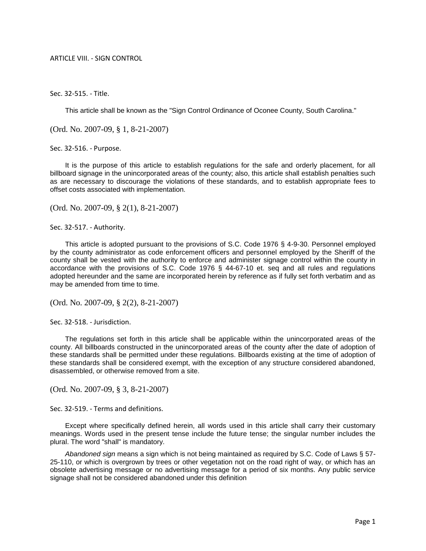## ARTICLE VIII. - SIGN CONTROL

Sec. 32-515. - Title.

This article shall be known as the "Sign Control Ordinance of Oconee County, South Carolina."

(Ord. No. 2007-09, § 1, 8-21-2007)

Sec. 32-516. - Purpose.

It is the purpose of this article to establish regulations for the safe and orderly placement, for all billboard signage in the unincorporated areas of the county; also, this article shall establish penalties such as are necessary to discourage the violations of these standards, and to establish appropriate fees to offset costs associated with implementation.

(Ord. No. 2007-09, § 2(1), 8-21-2007)

Sec. 32-517. - Authority.

This article is adopted pursuant to the provisions of S.C. Code 1976 § 4-9-30. Personnel employed by the county administrator as code enforcement officers and personnel employed by the Sheriff of the county shall be vested with the authority to enforce and administer signage control within the county in accordance with the provisions of S.C. Code 1976 § 44-67-10 et. seq and all rules and regulations adopted hereunder and the same are incorporated herein by reference as if fully set forth verbatim and as may be amended from time to time.

(Ord. No. 2007-09, § 2(2), 8-21-2007)

Sec. 32-518. - Jurisdiction.

The regulations set forth in this article shall be applicable within the unincorporated areas of the county. All billboards constructed in the unincorporated areas of the county after the date of adoption of these standards shall be permitted under these regulations. Billboards existing at the time of adoption of these standards shall be considered exempt, with the exception of any structure considered abandoned, disassembled, or otherwise removed from a site.

(Ord. No. 2007-09, § 3, 8-21-2007)

Sec. 32-519. - Terms and definitions.

Except where specifically defined herein, all words used in this article shall carry their customary meanings. Words used in the present tense include the future tense; the singular number includes the plural. The word "shall" is mandatory.

*Abandoned sign* means a sign which is not being maintained as required by S.C. Code of Laws § 57- 25-110, or which is overgrown by trees or other vegetation not on the road right of way, or which has an obsolete advertising message or no advertising message for a period of six months. Any public service signage shall not be considered abandoned under this definition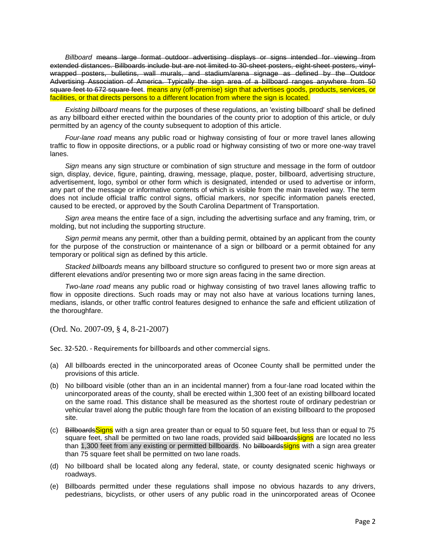*Billboard* means large format outdoor advertising displays or signs intended for viewing from extended distances. Billboards include but are not limited to 30-sheet posters, eight-sheet posters, vinylwrapped posters, bulletins, wall murals, and stadium/arena signage as defined by the Outdoor Advertising Association of America. Typically the sign area of a billboard ranges anywhere from 50 square feet to 672 square feet. means any (off-premise) sign that advertises goods, products, services, or facilities, or that directs persons to a different location from where the sign is located.

*Existing billboard* means for the purposes of these regulations, an 'existing billboard' shall be defined as any billboard either erected within the boundaries of the county prior to adoption of this article, or duly permitted by an agency of the county subsequent to adoption of this article.

*Four-lane road* means any public road or highway consisting of four or more travel lanes allowing traffic to flow in opposite directions, or a public road or highway consisting of two or more one-way travel lanes.

*Sign* means any sign structure or combination of sign structure and message in the form of outdoor sign, display, device, figure, painting, drawing, message, plaque, poster, billboard, advertising structure, advertisement, logo, symbol or other form which is designated, intended or used to advertise or inform, any part of the message or informative contents of which is visible from the main traveled way. The term does not include official traffic control signs, official markers, nor specific information panels erected, caused to be erected, or approved by the South Carolina Department of Transportation.

*Sign area* means the entire face of a sign, including the advertising surface and any framing, trim, or molding, but not including the supporting structure.

*Sign permit* means any permit, other than a building permit, obtained by an applicant from the county for the purpose of the construction or maintenance of a sign or billboard or a permit obtained for any temporary or political sign as defined by this article.

*Stacked billboards* means any billboard structure so configured to present two or more sign areas at different elevations and/or presenting two or more sign areas facing in the same direction.

*Two-lane road* means any public road or highway consisting of two travel lanes allowing traffic to flow in opposite directions. Such roads may or may not also have at various locations turning lanes, medians, islands, or other traffic control features designed to enhance the safe and efficient utilization of the thoroughfare.

(Ord. No. 2007-09, § 4, 8-21-2007)

Sec. 32-520. - Requirements for billboards and other commercial signs.

- (a) All billboards erected in the unincorporated areas of Oconee County shall be permitted under the provisions of this article.
- (b) No billboard visible (other than an in an incidental manner) from a four-lane road located within the unincorporated areas of the county, shall be erected within 1,300 feet of an existing billboard located on the same road. This distance shall be measured as the shortest route of ordinary pedestrian or vehicular travel along the public though fare from the location of an existing billboard to the proposed site.
- (c) Billboards Signs with a sign area greater than or equal to 50 square feet, but less than or equal to 75 square feet, shall be permitted on two lane roads, provided said billboardssigns are located no less than 1,300 feet from any existing or permitted billboards. No billboards signs with a sign area greater than 75 square feet shall be permitted on two lane roads.
- (d) No billboard shall be located along any federal, state, or county designated scenic highways or roadways.
- (e) Billboards permitted under these regulations shall impose no obvious hazards to any drivers, pedestrians, bicyclists, or other users of any public road in the unincorporated areas of Oconee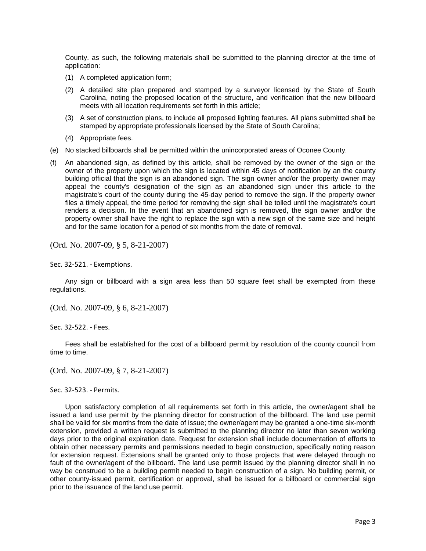County. as such, the following materials shall be submitted to the planning director at the time of application:

- (1) A completed application form;
- (2) A detailed site plan prepared and stamped by a surveyor licensed by the State of South Carolina, noting the proposed location of the structure, and verification that the new billboard meets with all location requirements set forth in this article;
- (3) A set of construction plans, to include all proposed lighting features. All plans submitted shall be stamped by appropriate professionals licensed by the State of South Carolina;
- (4) Appropriate fees.
- (e) No stacked billboards shall be permitted within the unincorporated areas of Oconee County.
- (f) An abandoned sign, as defined by this article, shall be removed by the owner of the sign or the owner of the property upon which the sign is located within 45 days of notification by an the county building official that the sign is an abandoned sign. The sign owner and/or the property owner may appeal the county's designation of the sign as an abandoned sign under this article to the magistrate's court of the county during the 45-day period to remove the sign. If the property owner files a timely appeal, the time period for removing the sign shall be tolled until the magistrate's court renders a decision. In the event that an abandoned sign is removed, the sign owner and/or the property owner shall have the right to replace the sign with a new sign of the same size and height and for the same location for a period of six months from the date of removal.

(Ord. No. 2007-09, § 5, 8-21-2007)

Sec. 32-521. - Exemptions.

Any sign or billboard with a sign area less than 50 square feet shall be exempted from these regulations.

(Ord. No. 2007-09, § 6, 8-21-2007)

Sec. 32-522. - Fees.

Fees shall be established for the cost of a billboard permit by resolution of the county council from time to time.

(Ord. No. 2007-09, § 7, 8-21-2007)

Sec. 32-523. - Permits.

Upon satisfactory completion of all requirements set forth in this article, the owner/agent shall be issued a land use permit by the planning director for construction of the billboard. The land use permit shall be valid for six months from the date of issue; the owner/agent may be granted a one-time six-month extension, provided a written request is submitted to the planning director no later than seven working days prior to the original expiration date. Request for extension shall include documentation of efforts to obtain other necessary permits and permissions needed to begin construction, specifically noting reason for extension request. Extensions shall be granted only to those projects that were delayed through no fault of the owner/agent of the billboard. The land use permit issued by the planning director shall in no way be construed to be a building permit needed to begin construction of a sign. No building permit, or other county-issued permit, certification or approval, shall be issued for a billboard or commercial sign prior to the issuance of the land use permit.